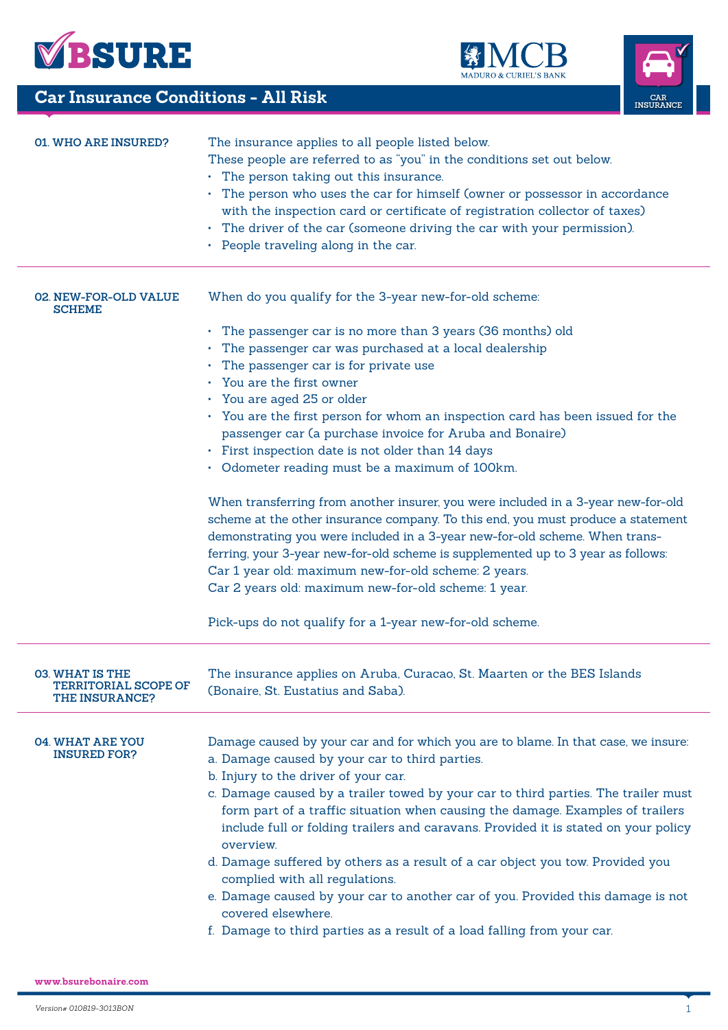





| <b>Car Insurance Conditions - All Risk</b><br>CAR<br>INSURANCE                 |                                                                                                                                                                                                                                                                                                                                                                                                                                                                                                                                                                                                                                                                                                                                                                  |  |
|--------------------------------------------------------------------------------|------------------------------------------------------------------------------------------------------------------------------------------------------------------------------------------------------------------------------------------------------------------------------------------------------------------------------------------------------------------------------------------------------------------------------------------------------------------------------------------------------------------------------------------------------------------------------------------------------------------------------------------------------------------------------------------------------------------------------------------------------------------|--|
| <b>01. WHO ARE INSURED?</b>                                                    | The insurance applies to all people listed below.<br>These people are referred to as "you" in the conditions set out below.<br>• The person taking out this insurance.<br>• The person who uses the car for himself (owner or possessor in accordance<br>with the inspection card or certificate of registration collector of taxes)<br>• The driver of the car (someone driving the car with your permission).<br>• People traveling along in the car.                                                                                                                                                                                                                                                                                                          |  |
| 02. NEW-FOR-OLD VALUE<br><b>SCHEME</b>                                         | When do you qualify for the 3-year new-for-old scheme:<br>• The passenger car is no more than 3 years (36 months) old<br>• The passenger car was purchased at a local dealership<br>• The passenger car is for private use                                                                                                                                                                                                                                                                                                                                                                                                                                                                                                                                       |  |
|                                                                                | • You are the first owner<br>• You are aged 25 or older<br>• You are the first person for whom an inspection card has been issued for the<br>passenger car (a purchase invoice for Aruba and Bonaire)<br>• First inspection date is not older than 14 days<br>• Odometer reading must be a maximum of 100km.                                                                                                                                                                                                                                                                                                                                                                                                                                                     |  |
|                                                                                | When transferring from another insurer, you were included in a 3-year new-for-old<br>scheme at the other insurance company. To this end, you must produce a statement<br>demonstrating you were included in a 3-year new-for-old scheme. When trans-<br>ferring, your 3-year new-for-old scheme is supplemented up to 3 year as follows:<br>Car 1 year old: maximum new-for-old scheme: 2 years.<br>Car 2 years old: maximum new-for-old scheme: 1 year.                                                                                                                                                                                                                                                                                                         |  |
|                                                                                | Pick-ups do not qualify for a 1-year new-for-old scheme.                                                                                                                                                                                                                                                                                                                                                                                                                                                                                                                                                                                                                                                                                                         |  |
| <b>03. WHAT IS THE</b><br><b>TERRITORIAL SCOPE OF</b><br><b>THE INSURANCE?</b> | The insurance applies on Aruba, Curacao, St. Maarten or the BES Islands<br>(Bonaire, St. Eustatius and Saba).                                                                                                                                                                                                                                                                                                                                                                                                                                                                                                                                                                                                                                                    |  |
| <b>04. WHAT ARE YOU</b><br><b>INSURED FOR?</b>                                 | Damage caused by your car and for which you are to blame. In that case, we insure:<br>a. Damage caused by your car to third parties.<br>b. Injury to the driver of your car.<br>c. Damage caused by a trailer towed by your car to third parties. The trailer must<br>form part of a traffic situation when causing the damage. Examples of trailers<br>include full or folding trailers and caravans. Provided it is stated on your policy<br>overview.<br>d. Damage suffered by others as a result of a car object you tow. Provided you<br>complied with all regulations.<br>e. Damage caused by your car to another car of you. Provided this damage is not<br>covered elsewhere.<br>f. Damage to third parties as a result of a load falling from your car. |  |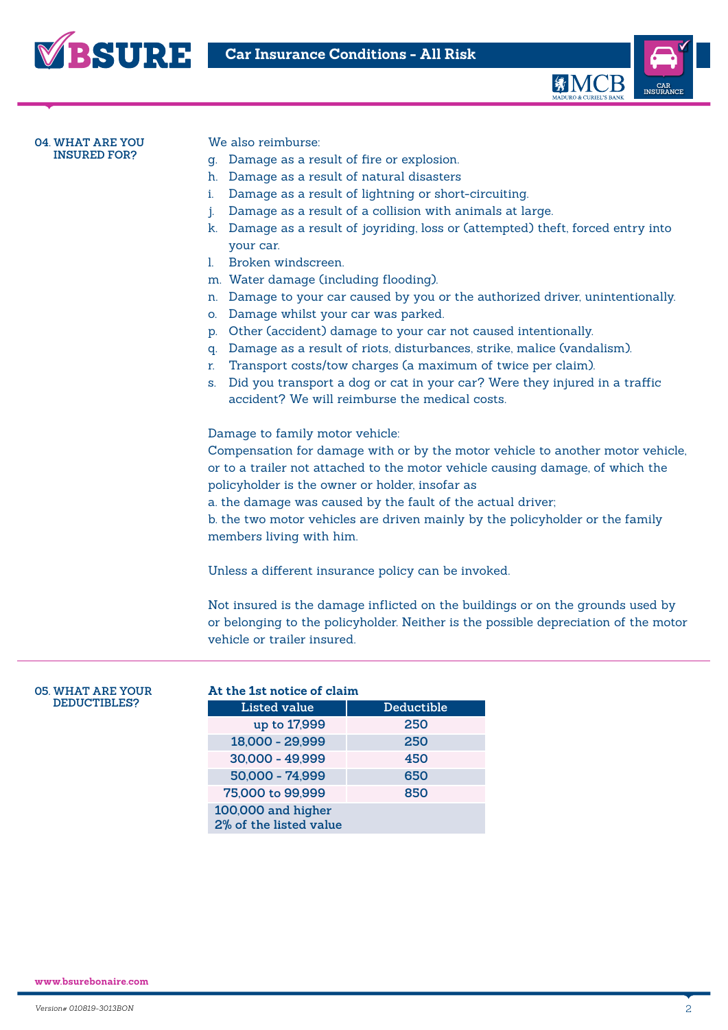



#### **04. WHAT ARE YOU INSURED FOR?**

We also reimburse:

- g. Damage as a result of fire or explosion.
- h. Damage as a result of natural disasters
- i. Damage as a result of lightning or short-circuiting.
- j. Damage as a result of a collision with animals at large.
- k. Damage as a result of joyriding, loss or (attempted) theft, forced entry into your car.
- l. Broken windscreen.
- m. Water damage (including flooding).
- n. Damage to your car caused by you or the authorized driver, unintentionally.
- o. Damage whilst your car was parked.
- p. Other (accident) damage to your car not caused intentionally.
- q. Damage as a result of riots, disturbances, strike, malice (vandalism).
- r. Transport costs/tow charges (a maximum of twice per claim).
- s. Did you transport a dog or cat in your car? Were they injured in a traffic accident? We will reimburse the medical costs.

Damage to family motor vehicle:

Compensation for damage with or by the motor vehicle to another motor vehicle, or to a trailer not attached to the motor vehicle causing damage, of which the policyholder is the owner or holder, insofar as

a. the damage was caused by the fault of the actual driver;

b. the two motor vehicles are driven mainly by the policyholder or the family members living with him.

Unless a different insurance policy can be invoked.

Not insured is the damage inflicted on the buildings or on the grounds used by or belonging to the policyholder. Neither is the possible depreciation of the motor vehicle or trailer insured.

#### **05. WHAT ARE YOUR DEDUCTIBLES?**

| At the 1st notice of claim |            |  |
|----------------------------|------------|--|
| Listed value               | Deductible |  |
| up to 17,999               | 250        |  |
| 18,000 - 29,999            | 250        |  |
| 30,000 - 49,999            | 450        |  |
| 50,000 - 74,999            | 650        |  |
| 75,000 to 99,999           | 850        |  |
| 100,000 and higher         |            |  |
| 2% of the listed value     |            |  |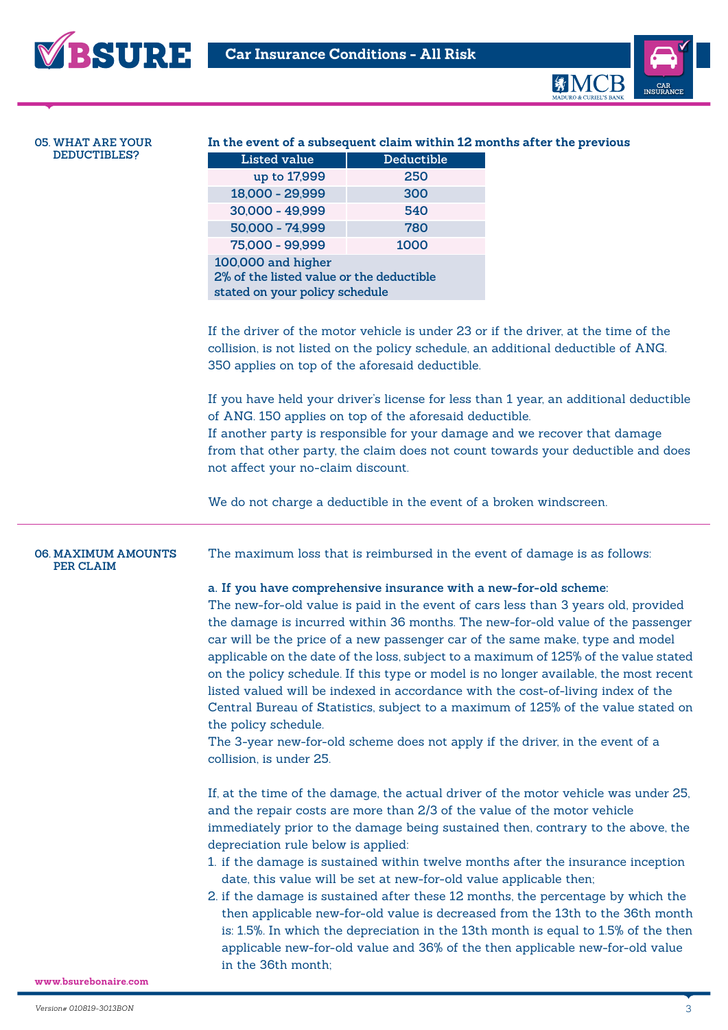



#### **05. WHAT ARE YOUR DEDUCTIBLES?**

### **In the event of a subsequent claim within 12 months after the previous**

| <b>Listed value</b>                      | Deductible |  |  |
|------------------------------------------|------------|--|--|
| up to 17,999                             | 250        |  |  |
| 18,000 - 29,999                          | 300        |  |  |
| 30,000 - 49,999                          | 540        |  |  |
| 50,000 - 74,999                          | 780        |  |  |
| 75,000 - 99,999                          | 1000       |  |  |
| 100,000 and higher                       |            |  |  |
| 2% of the listed value or the deductible |            |  |  |
| stated on your policy schedule           |            |  |  |

If the driver of the motor vehicle is under 23 or if the driver, at the time of the collision, is not listed on the policy schedule, an additional deductible of ANG. 350 applies on top of the aforesaid deductible.

If you have held your driver's license for less than 1 year, an additional deductible of ANG. 150 applies on top of the aforesaid deductible. If another party is responsible for your damage and we recover that damage from that other party, the claim does not count towards your deductible and does not affect your no-claim discount.

We do not charge a deductible in the event of a broken windscreen.

### **06. MAXIMUM AMOUNTS PER CLAIM**

The maximum loss that is reimbursed in the event of damage is as follows:

### **a. If you have comprehensive insurance with a new-for-old scheme:**

The new-for-old value is paid in the event of cars less than 3 years old, provided the damage is incurred within 36 months. The new-for-old value of the passenger car will be the price of a new passenger car of the same make, type and model applicable on the date of the loss, subject to a maximum of 125% of the value stated on the policy schedule. If this type or model is no longer available, the most recent listed valued will be indexed in accordance with the cost-of-living index of the Central Bureau of Statistics, subject to a maximum of 125% of the value stated on the policy schedule.

The 3-year new-for-old scheme does not apply if the driver, in the event of a collision, is under 25.

If, at the time of the damage, the actual driver of the motor vehicle was under 25, and the repair costs are more than 2/3 of the value of the motor vehicle immediately prior to the damage being sustained then, contrary to the above, the depreciation rule below is applied:

- 1. if the damage is sustained within twelve months after the insurance inception date, this value will be set at new-for-old value applicable then;
- 2. if the damage is sustained after these 12 months, the percentage by which the then applicable new-for-old value is decreased from the 13th to the 36th month is: 1.5%. In which the depreciation in the 13th month is equal to 1.5% of the then applicable new-for-old value and 36% of the then applicable new-for-old value in the 36th month;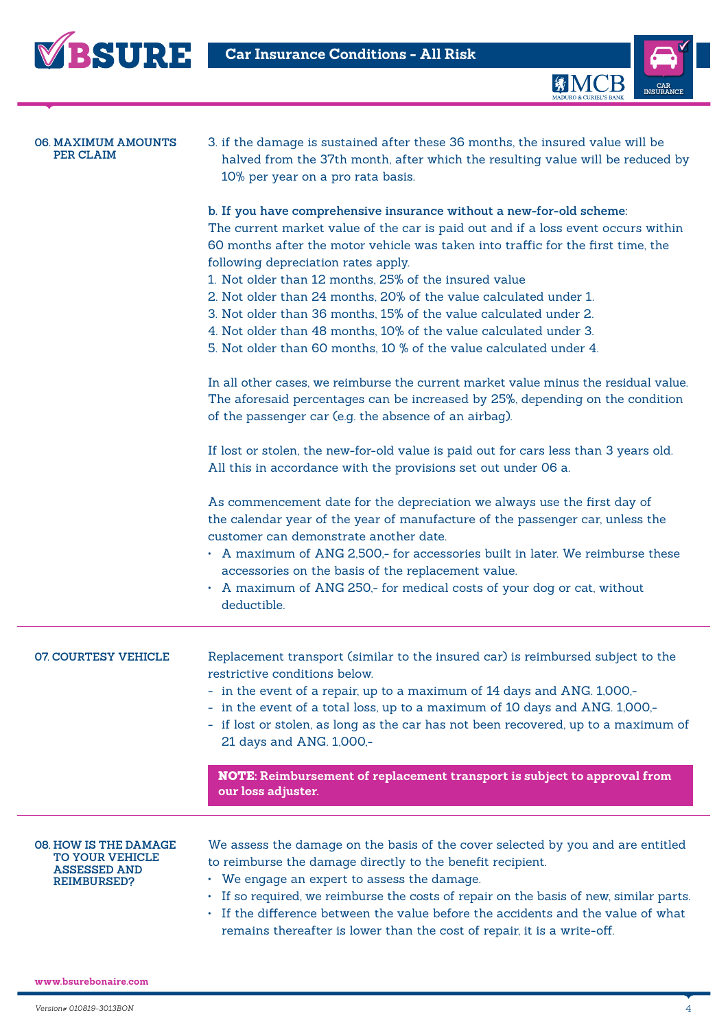



| <b>06. MAXIMUM AMOUNTS</b><br>PER CLAIM                                                      | 3. if the damage is sustained after these 36 months, the insured value will be<br>halved from the 37th month, after which the resulting value will be reduced by<br>10% per year on a pro rata basis.                                                                                                                                                                                                                                                                                                                                                                                                                              |
|----------------------------------------------------------------------------------------------|------------------------------------------------------------------------------------------------------------------------------------------------------------------------------------------------------------------------------------------------------------------------------------------------------------------------------------------------------------------------------------------------------------------------------------------------------------------------------------------------------------------------------------------------------------------------------------------------------------------------------------|
|                                                                                              | b. If you have comprehensive insurance without a new-for-old scheme:<br>The current market value of the car is paid out and if a loss event occurs within<br>60 months after the motor vehicle was taken into traffic for the first time, the<br>following depreciation rates apply.<br>1. Not older than 12 months, 25% of the insured value<br>2. Not older than 24 months, 20% of the value calculated under 1.<br>3. Not older than 36 months, 15% of the value calculated under 2.<br>4. Not older than 48 months, 10% of the value calculated under 3.<br>5. Not older than 60 months, 10 % of the value calculated under 4. |
|                                                                                              | In all other cases, we reimburse the current market value minus the residual value.<br>The aforesaid percentages can be increased by 25%, depending on the condition<br>of the passenger car (e.g. the absence of an airbag).                                                                                                                                                                                                                                                                                                                                                                                                      |
|                                                                                              | If lost or stolen, the new-for-old value is paid out for cars less than 3 years old.<br>All this in accordance with the provisions set out under 06 a.                                                                                                                                                                                                                                                                                                                                                                                                                                                                             |
|                                                                                              | As commencement date for the depreciation we always use the first day of<br>the calendar year of the year of manufacture of the passenger car, unless the<br>customer can demonstrate another date.<br>• A maximum of ANG 2,500,- for accessories built in later. We reimburse these<br>accessories on the basis of the replacement value.<br>• A maximum of ANG 250,- for medical costs of your dog or cat, without<br>deductible.                                                                                                                                                                                                |
| <b>07 COURTESY VEHICLE</b>                                                                   | Replacement transport (similar to the insured car) is reimbursed subject to the<br>restrictive conditions below.<br>- in the event of a repair, up to a maximum of 14 days and ANG. 1,000,-<br>- in the event of a total loss, up to a maximum of 10 days and ANG. 1,000,-<br>- if lost or stolen, as long as the car has not been recovered, up to a maximum of<br>21 days and ANG. 1,000,-                                                                                                                                                                                                                                       |
|                                                                                              | NOTE: Reimbursement of replacement transport is subject to approval from<br>our loss adjuster.                                                                                                                                                                                                                                                                                                                                                                                                                                                                                                                                     |
| 08. HOW IS THE DAMAGE<br><b>TO YOUR VEHICLE</b><br><b>ASSESSED AND</b><br><b>REIMBURSED?</b> | We assess the damage on the basis of the cover selected by you and are entitled<br>to reimburse the damage directly to the benefit recipient.<br>• We engage an expert to assess the damage.<br>• If so required, we reimburse the costs of repair on the basis of new, similar parts.<br>• If the difference between the value before the accidents and the value of what<br>remains thereafter is lower than the cost of repair, it is a write-off.                                                                                                                                                                              |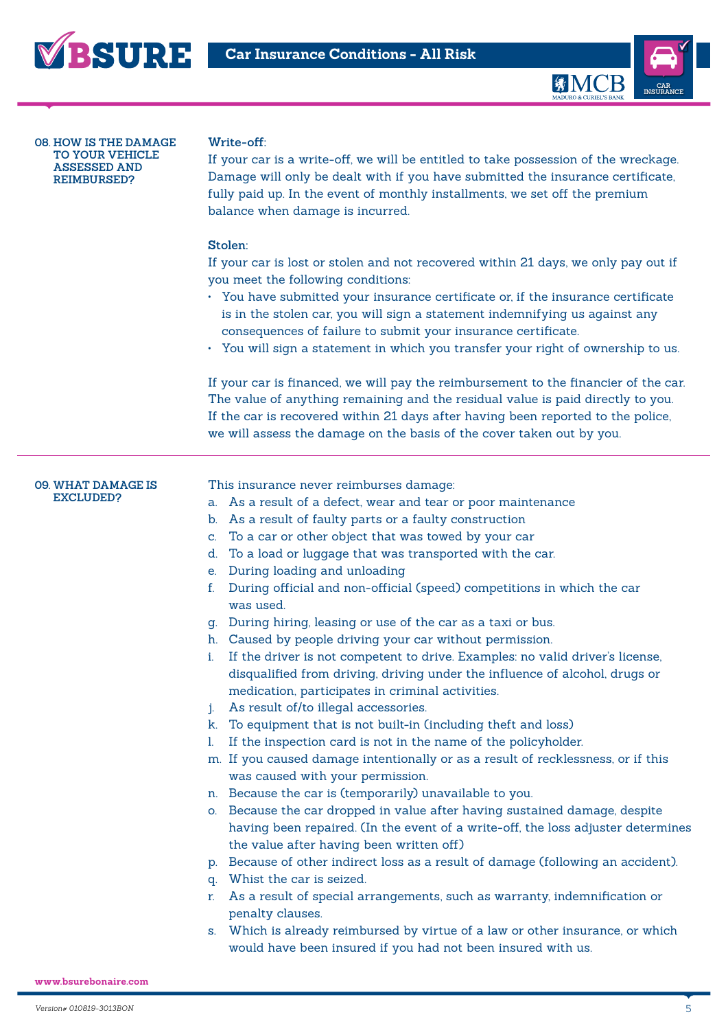



**08. HOW IS THE DAMAGE TO YOUR VEHICLE ASSESSED AND REIMBURSED?**

# **Write-off:**

If your car is a write-off, we will be entitled to take possession of the wreckage. Damage will only be dealt with if you have submitted the insurance certificate, fully paid up. In the event of monthly installments, we set off the premium balance when damage is incurred.

### **Stolen:**

If your car is lost or stolen and not recovered within 21 days, we only pay out if you meet the following conditions:

- You have submitted your insurance certificate or, if the insurance certificate is in the stolen car, you will sign a statement indemnifying us against any consequences of failure to submit your insurance certificate.
- You will sign a statement in which you transfer your right of ownership to us.

If your car is financed, we will pay the reimbursement to the financier of the car. The value of anything remaining and the residual value is paid directly to you. If the car is recovered within 21 days after having been reported to the police, we will assess the damage on the basis of the cover taken out by you.

#### **09. WHAT DAMAGE IS EXCLUDED?**

This insurance never reimburses damage:

- a. As a result of a defect, wear and tear or poor maintenance
- b. As a result of faulty parts or a faulty construction
- c. To a car or other object that was towed by your car
- d. To a load or luggage that was transported with the car.
- e. During loading and unloading
- f. During official and non-official (speed) competitions in which the car was used.
- g. During hiring, leasing or use of the car as a taxi or bus.
- h. Caused by people driving your car without permission.
- i. If the driver is not competent to drive. Examples: no valid driver's license, disqualified from driving, driving under the influence of alcohol, drugs or medication, participates in criminal activities.
- j. As result of/to illegal accessories.
- k. To equipment that is not built-in (including theft and loss)
- l. If the inspection card is not in the name of the policyholder.
- m. If you caused damage intentionally or as a result of recklessness, or if this was caused with your permission.
- n. Because the car is (temporarily) unavailable to you.
- o. Because the car dropped in value after having sustained damage, despite having been repaired. (In the event of a write-off, the loss adjuster determines the value after having been written off)
- p. Because of other indirect loss as a result of damage (following an accident).
- q. Whist the car is seized.
- r. As a result of special arrangements, such as warranty, indemnification or penalty clauses.
- s. Which is already reimbursed by virtue of a law or other insurance, or which would have been insured if you had not been insured with us.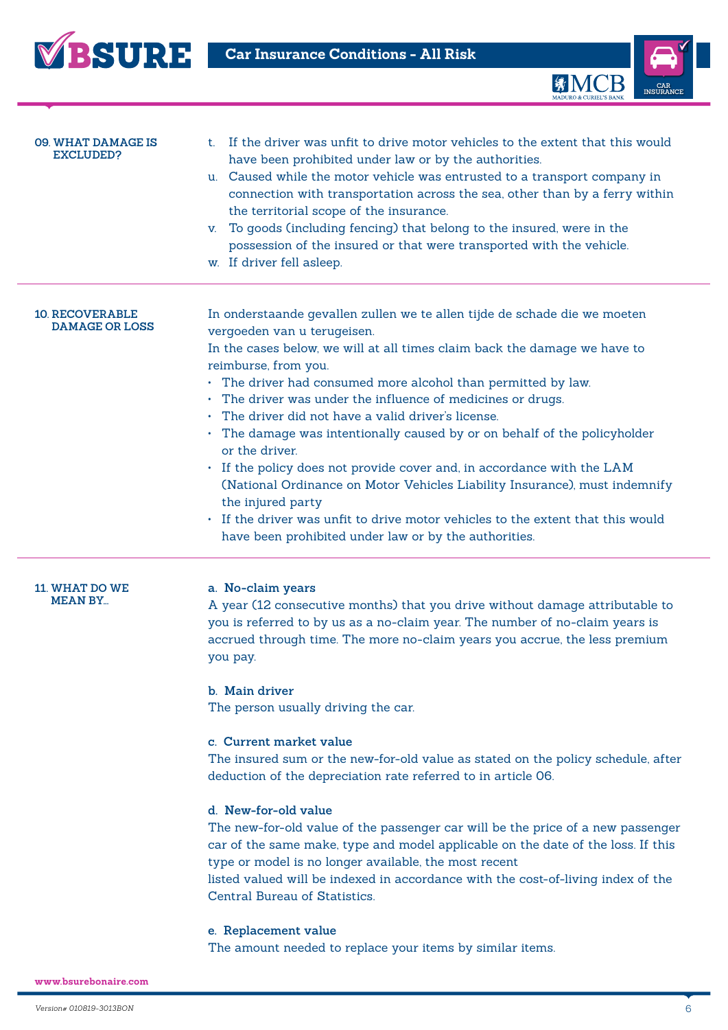



| <b>09. WHAT DAMAGE IS</b><br>EXCLUDED?          | t. If the driver was unfit to drive motor vehicles to the extent that this would<br>have been prohibited under law or by the authorities.<br>u. Caused while the motor vehicle was entrusted to a transport company in<br>connection with transportation across the sea, other than by a ferry within<br>the territorial scope of the insurance.<br>To goods (including fencing) that belong to the insured, were in the<br>V.<br>possession of the insured or that were transported with the vehicle.<br>w. If driver fell asleep.                                                                                                                                                                                                                                                                                      |
|-------------------------------------------------|--------------------------------------------------------------------------------------------------------------------------------------------------------------------------------------------------------------------------------------------------------------------------------------------------------------------------------------------------------------------------------------------------------------------------------------------------------------------------------------------------------------------------------------------------------------------------------------------------------------------------------------------------------------------------------------------------------------------------------------------------------------------------------------------------------------------------|
| <b>10. RECOVERABLE</b><br><b>DAMAGE OR LOSS</b> | In onderstaande gevallen zullen we te allen tijde de schade die we moeten<br>vergoeden van u terugeisen.<br>In the cases below, we will at all times claim back the damage we have to<br>reimburse, from you.<br>• The driver had consumed more alcohol than permitted by law.<br>• The driver was under the influence of medicines or drugs.<br>The driver did not have a valid driver's license.<br>• The damage was intentionally caused by or on behalf of the policyholder<br>or the driver.<br>• If the policy does not provide cover and, in accordance with the LAM<br>(National Ordinance on Motor Vehicles Liability Insurance), must indemnify<br>the injured party<br>If the driver was unfit to drive motor vehicles to the extent that this would<br>have been prohibited under law or by the authorities. |
| <b>11. WHAT DO WE</b><br><b>MEAN BY</b>         | a. No-claim years<br>A year (12 consecutive months) that you drive without damage attributable to<br>you is referred to by us as a no-claim year. The number of no-claim years is<br>accrued through time. The more no-claim years you accrue, the less premium<br>you pay.<br>b. Main driver<br>The person usually driving the car.                                                                                                                                                                                                                                                                                                                                                                                                                                                                                     |

# **c. Current market value**

The insured sum or the new-for-old value as stated on the policy schedule, after deduction of the depreciation rate referred to in article 06.

# **d. New-for-old value**

The new-for-old value of the passenger car will be the price of a new passenger car of the same make, type and model applicable on the date of the loss. If this type or model is no longer available, the most recent

listed valued will be indexed in accordance with the cost-of-living index of the Central Bureau of Statistics.

# **e. Replacement value**

The amount needed to replace your items by similar items.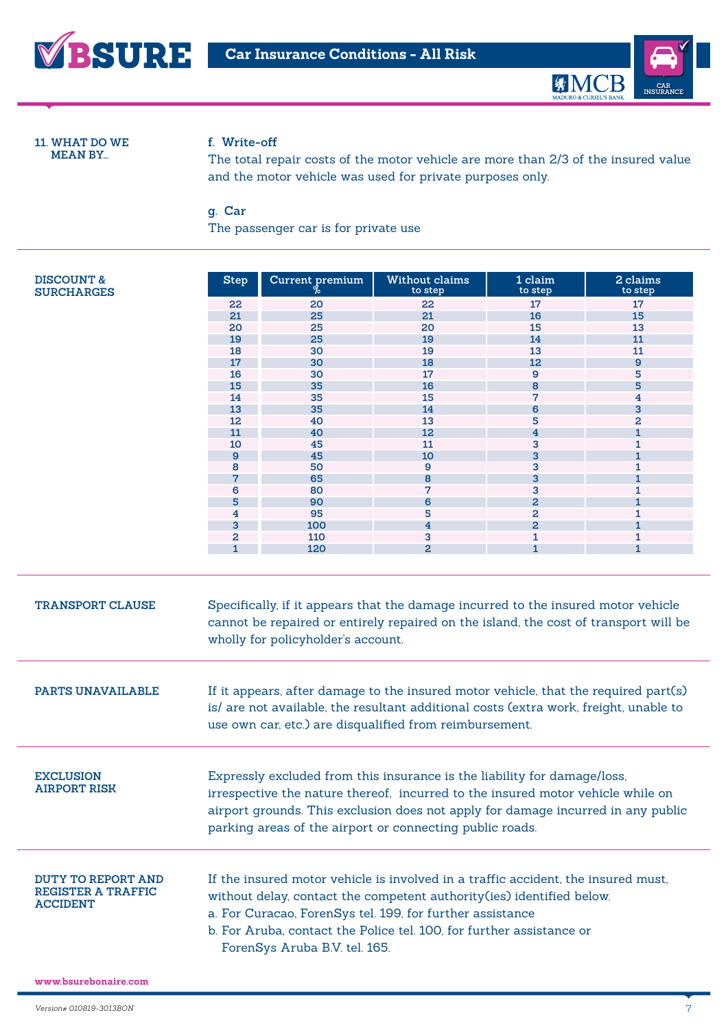



**11. WHAT DO WE MEAN BY...**

# **f. Write-off**

The total repair costs of the motor vehicle are more than 2/3 of the insured value and the motor vehicle was used for private purposes only.

# **g. Car**

The passenger car is for private use

| <b>DISCOUNT &amp;</b><br><b>SURCHARGES</b>                                | <b>Step</b>                                                                                                                                                                                                                                                                                                                                                                                                                                                | Current premium                                                                                                                                                                                                                                                                                                                   | Without claims<br>to step | 1 claim<br>to step      | 2 claims<br>to step |
|---------------------------------------------------------------------------|------------------------------------------------------------------------------------------------------------------------------------------------------------------------------------------------------------------------------------------------------------------------------------------------------------------------------------------------------------------------------------------------------------------------------------------------------------|-----------------------------------------------------------------------------------------------------------------------------------------------------------------------------------------------------------------------------------------------------------------------------------------------------------------------------------|---------------------------|-------------------------|---------------------|
|                                                                           | 22                                                                                                                                                                                                                                                                                                                                                                                                                                                         | 20                                                                                                                                                                                                                                                                                                                                | 22                        | 17                      | 17                  |
|                                                                           | 21                                                                                                                                                                                                                                                                                                                                                                                                                                                         | 25                                                                                                                                                                                                                                                                                                                                | 21                        | 16                      | 15                  |
|                                                                           | 20                                                                                                                                                                                                                                                                                                                                                                                                                                                         | 25                                                                                                                                                                                                                                                                                                                                | 20                        | 15                      | 13                  |
|                                                                           | 19                                                                                                                                                                                                                                                                                                                                                                                                                                                         | 25                                                                                                                                                                                                                                                                                                                                | 19                        | 14                      | 11                  |
|                                                                           | 18                                                                                                                                                                                                                                                                                                                                                                                                                                                         | 30                                                                                                                                                                                                                                                                                                                                | 19                        | 13                      | 11                  |
|                                                                           | 17                                                                                                                                                                                                                                                                                                                                                                                                                                                         | 30                                                                                                                                                                                                                                                                                                                                | 18                        | 12                      | $\mathbf{9}$        |
|                                                                           | 16                                                                                                                                                                                                                                                                                                                                                                                                                                                         | 30                                                                                                                                                                                                                                                                                                                                | 17                        | 9                       | 5                   |
|                                                                           | 15                                                                                                                                                                                                                                                                                                                                                                                                                                                         | 35                                                                                                                                                                                                                                                                                                                                | 16                        | 8                       | 5                   |
|                                                                           | 14                                                                                                                                                                                                                                                                                                                                                                                                                                                         | 35                                                                                                                                                                                                                                                                                                                                | 15                        | 7                       | 4                   |
|                                                                           | 13                                                                                                                                                                                                                                                                                                                                                                                                                                                         | 35                                                                                                                                                                                                                                                                                                                                | 14                        | 6                       | 3                   |
|                                                                           | 12                                                                                                                                                                                                                                                                                                                                                                                                                                                         | 40                                                                                                                                                                                                                                                                                                                                | 13                        | 5                       | 2                   |
|                                                                           | 11                                                                                                                                                                                                                                                                                                                                                                                                                                                         | 40                                                                                                                                                                                                                                                                                                                                | 12                        | $\overline{\mathbf{4}}$ | $\mathbf{1}$        |
|                                                                           | 10                                                                                                                                                                                                                                                                                                                                                                                                                                                         | 45                                                                                                                                                                                                                                                                                                                                | 11                        | 3                       | 1                   |
|                                                                           | $\mathbf{9}$                                                                                                                                                                                                                                                                                                                                                                                                                                               | 45                                                                                                                                                                                                                                                                                                                                | 10                        | 3                       | $\mathbf{1}$        |
|                                                                           | 8                                                                                                                                                                                                                                                                                                                                                                                                                                                          | 50                                                                                                                                                                                                                                                                                                                                | 9                         | 3                       | 1                   |
|                                                                           | 7                                                                                                                                                                                                                                                                                                                                                                                                                                                          | 65                                                                                                                                                                                                                                                                                                                                | 8                         | 3                       | $\mathbf{1}$        |
|                                                                           | 6                                                                                                                                                                                                                                                                                                                                                                                                                                                          | 80                                                                                                                                                                                                                                                                                                                                | 7                         | 3                       | 1                   |
|                                                                           | 5                                                                                                                                                                                                                                                                                                                                                                                                                                                          | 90                                                                                                                                                                                                                                                                                                                                | 6                         | $\overline{a}$          | $\mathbf{1}$        |
|                                                                           | 4                                                                                                                                                                                                                                                                                                                                                                                                                                                          | 95                                                                                                                                                                                                                                                                                                                                | 5                         | $\overline{a}$          | 1                   |
|                                                                           | 3                                                                                                                                                                                                                                                                                                                                                                                                                                                          | 100                                                                                                                                                                                                                                                                                                                               | $\overline{4}$            | $\overline{a}$          | 1                   |
|                                                                           | $\overline{a}$                                                                                                                                                                                                                                                                                                                                                                                                                                             | 110                                                                                                                                                                                                                                                                                                                               | 3                         | 1                       |                     |
|                                                                           | $\mathbf{1}$                                                                                                                                                                                                                                                                                                                                                                                                                                               | 120                                                                                                                                                                                                                                                                                                                               | $\overline{2}$            | $\mathbf{1}$            | 1<br>$\mathbf{1}$   |
| <b>TRANSPORT CLAUSE</b><br><b>PARTS UNAVAILABLE</b>                       | Specifically, if it appears that the damage incurred to the insured motor vehicle<br>cannot be repaired or entirely repaired on the island, the cost of transport will be<br>wholly for policyholder's account.<br>If it appears, after damage to the insured motor vehicle, that the required part(s)<br>is/ are not available, the resultant additional costs (extra work, freight, unable to<br>use own car, etc.) are disqualified from reimbursement. |                                                                                                                                                                                                                                                                                                                                   |                           |                         |                     |
| <b>EXCLUSION</b><br><b>AIRPORT RISK</b>                                   |                                                                                                                                                                                                                                                                                                                                                                                                                                                            | Expressly excluded from this insurance is the liability for damage/loss,<br>irrespective the nature thereof, incurred to the insured motor vehicle while on<br>airport grounds. This exclusion does not apply for damage incurred in any public<br>parking areas of the airport or connecting public roads.                       |                           |                         |                     |
| <b>DUTY TO REPORT AND</b><br><b>REGISTER A TRAFFIC</b><br><b>ACCIDENT</b> |                                                                                                                                                                                                                                                                                                                                                                                                                                                            | If the insured motor vehicle is involved in a traffic accident, the insured must,<br>without delay, contact the competent authority (ies) identified below.<br>a. For Curacao, ForenSys tel. 199, for further assistance<br>b. For Aruba, contact the Police tel. 100, for further assistance or<br>ForenSys Aruba B.V. tel. 165. |                           |                         |                     |